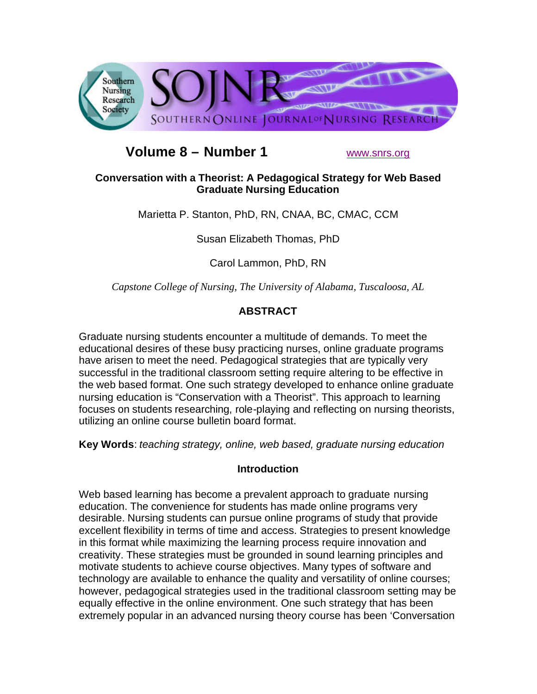

# **Volume 8 – Number 1** www.snrs.org

# **Conversation with a Theorist: A Pedagogical Strategy for Web Based Graduate Nursing Education**

Marietta P. Stanton, PhD, RN, CNAA, BC, CMAC, CCM

Susan Elizabeth Thomas, PhD

Carol Lammon, PhD, RN

*Capstone College of Nursing, The University of Alabama, Tuscaloosa, AL*

# **ABSTRACT**

Graduate nursing students encounter a multitude of demands. To meet the educational desires of these busy practicing nurses, online graduate programs have arisen to meet the need. Pedagogical strategies that are typically very successful in the traditional classroom setting require altering to be effective in the web based format. One such strategy developed to enhance online graduate nursing education is "Conservation with a Theorist". This approach to learning focuses on students researching, role-playing and reflecting on nursing theorists, utilizing an online course bulletin board format.

**Key Words**: *teaching strategy, online, web based, graduate nursing education* 

# **Introduction**

Web based learning has become a prevalent approach to graduate nursing education. The convenience for students has made online programs very desirable. Nursing students can pursue online programs of study that provide excellent flexibility in terms of time and access. Strategies to present knowledge in this format while maximizing the learning process require innovation and creativity. These strategies must be grounded in sound learning principles and motivate students to achieve course objectives. Many types of software and technology are available to enhance the quality and versatility of online courses; however, pedagogical strategies used in the traditional classroom setting may be equally effective in the online environment. One such strategy that has been extremely popular in an advanced nursing theory course has been 'Conversation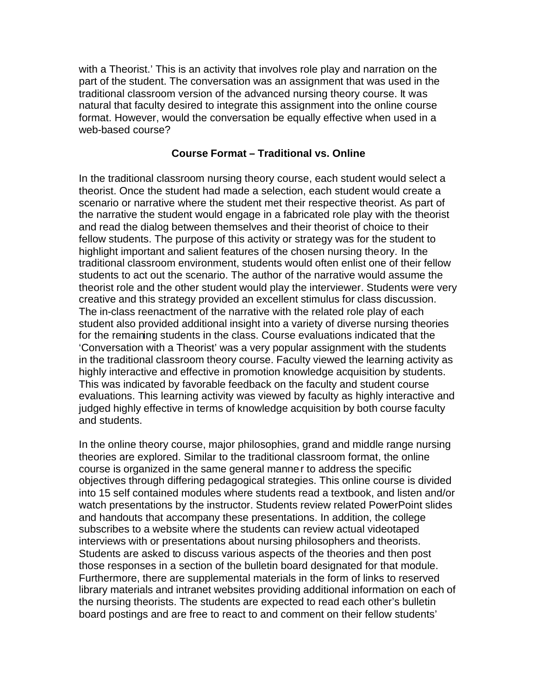with a Theorist.' This is an activity that involves role play and narration on the part of the student. The conversation was an assignment that was used in the traditional classroom version of the advanced nursing theory course. It was natural that faculty desired to integrate this assignment into the online course format. However, would the conversation be equally effective when used in a web-based course?

#### **Course Format – Traditional vs. Online**

In the traditional classroom nursing theory course, each student would select a theorist. Once the student had made a selection, each student would create a scenario or narrative where the student met their respective theorist. As part of the narrative the student would engage in a fabricated role play with the theorist and read the dialog between themselves and their theorist of choice to their fellow students. The purpose of this activity or strategy was for the student to highlight important and salient features of the chosen nursing theory. In the traditional classroom environment, students would often enlist one of their fellow students to act out the scenario. The author of the narrative would assume the theorist role and the other student would play the interviewer. Students were very creative and this strategy provided an excellent stimulus for class discussion. The in-class reenactment of the narrative with the related role play of each student also provided additional insight into a variety of diverse nursing theories for the remaining students in the class. Course evaluations indicated that the 'Conversation with a Theorist' was a very popular assignment with the students in the traditional classroom theory course. Faculty viewed the learning activity as highly interactive and effective in promotion knowledge acquisition by students. This was indicated by favorable feedback on the faculty and student course evaluations. This learning activity was viewed by faculty as highly interactive and judged highly effective in terms of knowledge acquisition by both course faculty and students.

In the online theory course, major philosophies, grand and middle range nursing theories are explored. Similar to the traditional classroom format, the online course is organized in the same general manner to address the specific objectives through differing pedagogical strategies. This online course is divided into 15 self contained modules where students read a textbook, and listen and/or watch presentations by the instructor. Students review related PowerPoint slides and handouts that accompany these presentations. In addition, the college subscribes to a website where the students can review actual videotaped interviews with or presentations about nursing philosophers and theorists. Students are asked to discuss various aspects of the theories and then post those responses in a section of the bulletin board designated for that module. Furthermore, there are supplemental materials in the form of links to reserved library materials and intranet websites providing additional information on each of the nursing theorists. The students are expected to read each other's bulletin board postings and are free to react to and comment on their fellow students'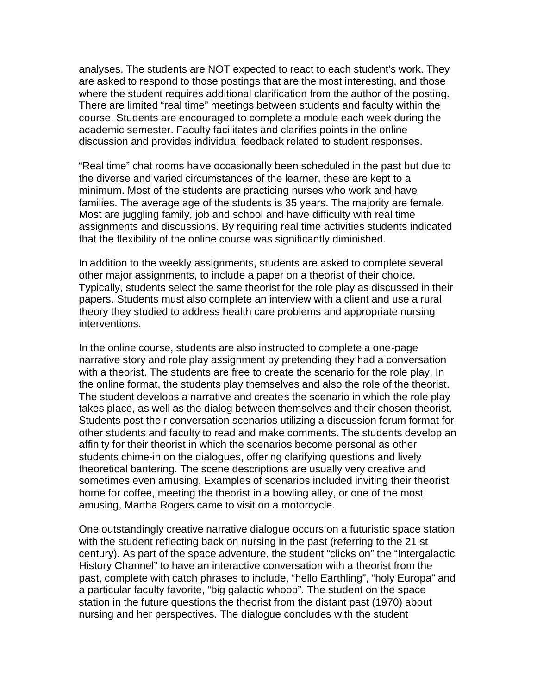analyses. The students are NOT expected to react to each student's work. They are asked to respond to those postings that are the most interesting, and those where the student requires additional clarification from the author of the posting. There are limited "real time" meetings between students and faculty within the course. Students are encouraged to complete a module each week during the academic semester. Faculty facilitates and clarifies points in the online discussion and provides individual feedback related to student responses.

"Real time" chat rooms have occasionally been scheduled in the past but due to the diverse and varied circumstances of the learner, these are kept to a minimum. Most of the students are practicing nurses who work and have families. The average age of the students is 35 years. The majority are female. Most are juggling family, job and school and have difficulty with real time assignments and discussions. By requiring real time activities students indicated that the flexibility of the online course was significantly diminished.

In addition to the weekly assignments, students are asked to complete several other major assignments, to include a paper on a theorist of their choice. Typically, students select the same theorist for the role play as discussed in their papers. Students must also complete an interview with a client and use a rural theory they studied to address health care problems and appropriate nursing interventions.

In the online course, students are also instructed to complete a one-page narrative story and role play assignment by pretending they had a conversation with a theorist. The students are free to create the scenario for the role play. In the online format, the students play themselves and also the role of the theorist. The student develops a narrative and creates the scenario in which the role play takes place, as well as the dialog between themselves and their chosen theorist. Students post their conversation scenarios utilizing a discussion forum format for other students and faculty to read and make comments. The students develop an affinity for their theorist in which the scenarios become personal as other students chime-in on the dialogues, offering clarifying questions and lively theoretical bantering. The scene descriptions are usually very creative and sometimes even amusing. Examples of scenarios included inviting their theorist home for coffee, meeting the theorist in a bowling alley, or one of the most amusing, Martha Rogers came to visit on a motorcycle.

One outstandingly creative narrative dialogue occurs on a futuristic space station with the student reflecting back on nursing in the past (referring to the 21 st century). As part of the space adventure, the student "clicks on" the "Intergalactic History Channel" to have an interactive conversation with a theorist from the past, complete with catch phrases to include, "hello Earthling", "holy Europa" and a particular faculty favorite, "big galactic whoop". The student on the space station in the future questions the theorist from the distant past (1970) about nursing and her perspectives. The dialogue concludes with the student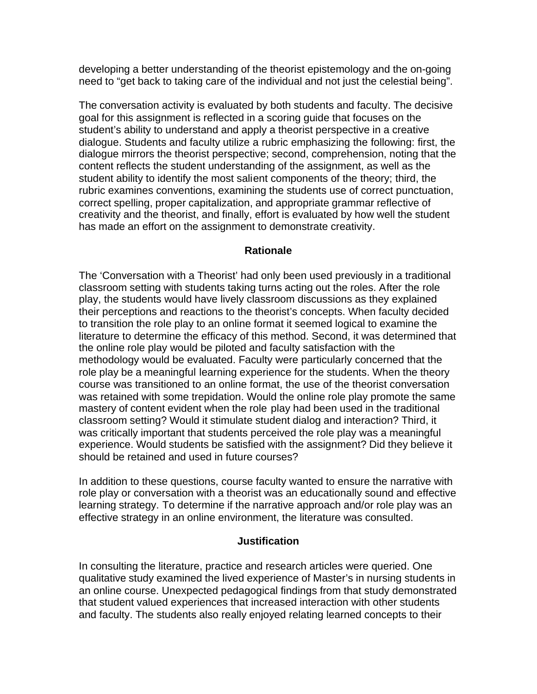developing a better understanding of the theorist epistemology and the on-going need to "get back to taking care of the individual and not just the celestial being".

The conversation activity is evaluated by both students and faculty. The decisive goal for this assignment is reflected in a scoring guide that focuses on the student's ability to understand and apply a theorist perspective in a creative dialogue. Students and faculty utilize a rubric emphasizing the following: first, the dialogue mirrors the theorist perspective; second, comprehension, noting that the content reflects the student understanding of the assignment, as well as the student ability to identify the most salient components of the theory; third, the rubric examines conventions, examining the students use of correct punctuation, correct spelling, proper capitalization, and appropriate grammar reflective of creativity and the theorist, and finally, effort is evaluated by how well the student has made an effort on the assignment to demonstrate creativity.

#### **Rationale**

The 'Conversation with a Theorist' had only been used previously in a traditional classroom setting with students taking turns acting out the roles. After the role play, the students would have lively classroom discussions as they explained their perceptions and reactions to the theorist's concepts. When faculty decided to transition the role play to an online format it seemed logical to examine the literature to determine the efficacy of this method. Second, it was determined that the online role play would be piloted and faculty satisfaction with the methodology would be evaluated. Faculty were particularly concerned that the role play be a meaningful learning experience for the students. When the theory course was transitioned to an online format, the use of the theorist conversation was retained with some trepidation. Would the online role play promote the same mastery of content evident when the role play had been used in the traditional classroom setting? Would it stimulate student dialog and interaction? Third, it was critically important that students perceived the role play was a meaningful experience. Would students be satisfied with the assignment? Did they believe it should be retained and used in future courses?

In addition to these questions, course faculty wanted to ensure the narrative with role play or conversation with a theorist was an educationally sound and effective learning strategy. To determine if the narrative approach and/or role play was an effective strategy in an online environment, the literature was consulted.

#### **Justification**

In consulting the literature, practice and research articles were queried. One qualitative study examined the lived experience of Master's in nursing students in an online course. Unexpected pedagogical findings from that study demonstrated that student valued experiences that increased interaction with other students and faculty. The students also really enjoyed relating learned concepts to their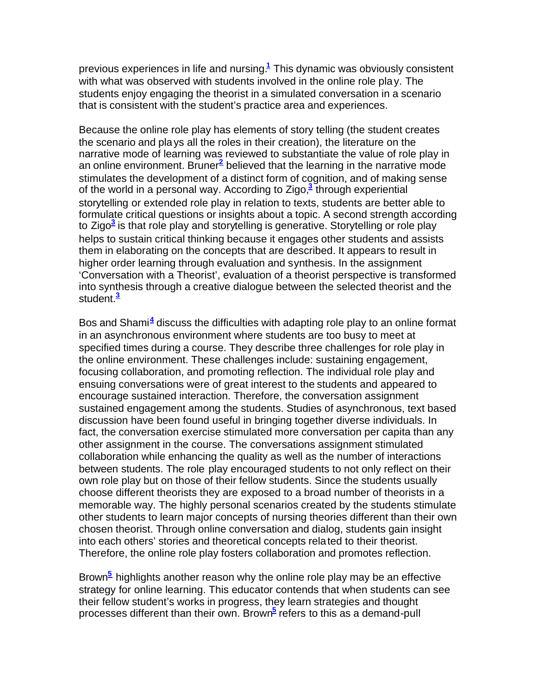previous experiences in life and nursing.**<sup>1</sup>** This dynamic was obviously consistent with what was observed with students involved in the online role play. The students enjoy engaging the theorist in a simulated conversation in a scenario that is consistent with the student's practice area and experiences.

Because the online role play has elements of story telling (the student creates the scenario and plays all the roles in their creation), the literature on the narrative mode of learning was reviewed to substantiate the value of role play in an online environment. Bruner**<sup>2</sup>** believed that the learning in the narrative mode stimulates the development of a distinct form of cognition, and of making sense of the world in a personal way. According to Zigo,<sup>3</sup> through experiential storytelling or extended role play in relation to texts, students are better able to formulate critical questions or insights about a topic. A second strength according to Zigo**<sup>3</sup>** is that role play and storytelling is generative. Storytelling or role play helps to sustain critical thinking because it engages other students and assists them in elaborating on the concepts that are described. It appears to result in higher order learning through evaluation and synthesis. In the assignment 'Conversation with a Theorist', evaluation of a theorist perspective is transformed into synthesis through a creative dialogue between the selected theorist and the student.**<sup>3</sup>**

Bos and Shami**<sup>4</sup>** discuss the difficulties with adapting role play to an online format in an asynchronous environment where students are too busy to meet at specified times during a course. They describe three challenges for role play in the online environment. These challenges include: sustaining engagement, focusing collaboration, and promoting reflection. The individual role play and ensuing conversations were of great interest to the students and appeared to encourage sustained interaction. Therefore, the conversation assignment sustained engagement among the students. Studies of asynchronous, text based discussion have been found useful in bringing together diverse individuals. In fact, the conversation exercise stimulated more conversation per capita than any other assignment in the course. The conversations assignment stimulated collaboration while enhancing the quality as well as the number of interactions between students. The role play encouraged students to not only reflect on their own role play but on those of their fellow students. Since the students usually choose different theorists they are exposed to a broad number of theorists in a memorable way. The highly personal scenarios created by the students stimulate other students to learn major concepts of nursing theories different than their own chosen theorist. Through online conversation and dialog, students gain insight into each others' stories and theoretical concepts related to their theorist. Therefore, the online role play fosters collaboration and promotes reflection.

Brown**<sup>5</sup>** highlights another reason why the online role play may be an effective strategy for online learning. This educator contends that when students can see their fellow student's works in progress, they learn strategies and thought processes different than their own. Brown**<sup>5</sup>** refers to this as a demand-pull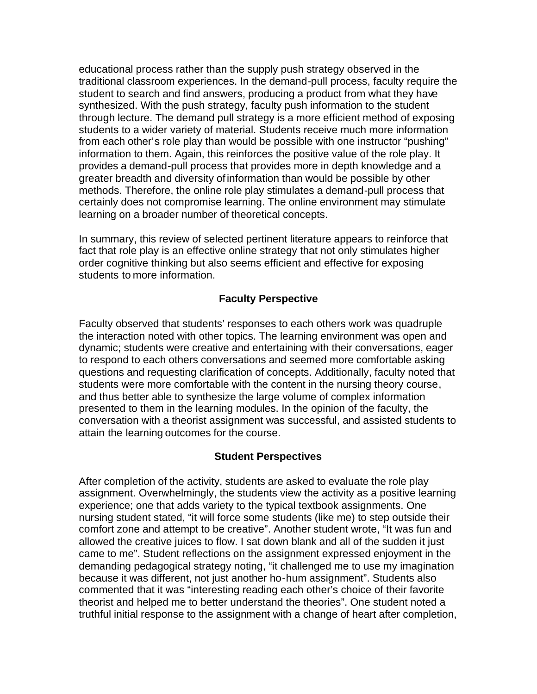educational process rather than the supply push strategy observed in the traditional classroom experiences. In the demand-pull process, faculty require the student to search and find answers, producing a product from what they have synthesized. With the push strategy, faculty push information to the student through lecture. The demand pull strategy is a more efficient method of exposing students to a wider variety of material. Students receive much more information from each other's role play than would be possible with one instructor "pushing" information to them. Again, this reinforces the positive value of the role play. It provides a demand-pull process that provides more in depth knowledge and a greater breadth and diversity ofinformation than would be possible by other methods. Therefore, the online role play stimulates a demand-pull process that certainly does not compromise learning. The online environment may stimulate learning on a broader number of theoretical concepts.

In summary, this review of selected pertinent literature appears to reinforce that fact that role play is an effective online strategy that not only stimulates higher order cognitive thinking but also seems efficient and effective for exposing students to more information.

#### **Faculty Perspective**

Faculty observed that students' responses to each others work was quadruple the interaction noted with other topics. The learning environment was open and dynamic; students were creative and entertaining with their conversations, eager to respond to each others conversations and seemed more comfortable asking questions and requesting clarification of concepts. Additionally, faculty noted that students were more comfortable with the content in the nursing theory course, and thus better able to synthesize the large volume of complex information presented to them in the learning modules. In the opinion of the faculty, the conversation with a theorist assignment was successful, and assisted students to attain the learning outcomes for the course.

#### **Student Perspectives**

After completion of the activity, students are asked to evaluate the role play assignment. Overwhelmingly, the students view the activity as a positive learning experience; one that adds variety to the typical textbook assignments. One nursing student stated, "it will force some students (like me) to step outside their comfort zone and attempt to be creative". Another student wrote, "It was fun and allowed the creative juices to flow. I sat down blank and all of the sudden it just came to me". Student reflections on the assignment expressed enjoyment in the demanding pedagogical strategy noting, "it challenged me to use my imagination because it was different, not just another ho-hum assignment". Students also commented that it was "interesting reading each other's choice of their favorite theorist and helped me to better understand the theories". One student noted a truthful initial response to the assignment with a change of heart after completion,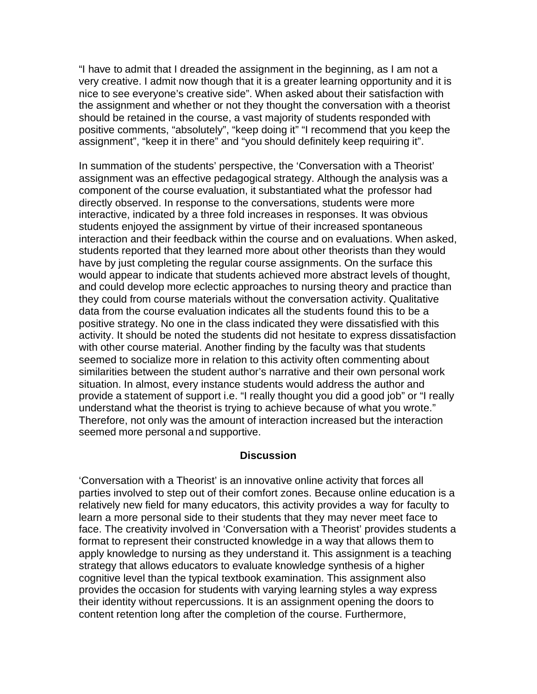"I have to admit that I dreaded the assignment in the beginning, as I am not a very creative. I admit now though that it is a greater learning opportunity and it is nice to see everyone's creative side". When asked about their satisfaction with the assignment and whether or not they thought the conversation with a theorist should be retained in the course, a vast majority of students responded with positive comments, "absolutely", "keep doing it" "I recommend that you keep the assignment", "keep it in there" and "you should definitely keep requiring it".

In summation of the students' perspective, the 'Conversation with a Theorist' assignment was an effective pedagogical strategy. Although the analysis was a component of the course evaluation, it substantiated what the professor had directly observed. In response to the conversations, students were more interactive, indicated by a three fold increases in responses. It was obvious students enjoyed the assignment by virtue of their increased spontaneous interaction and their feedback within the course and on evaluations. When asked, students reported that they learned more about other theorists than they would have by just completing the regular course assignments. On the surface this would appear to indicate that students achieved more abstract levels of thought, and could develop more eclectic approaches to nursing theory and practice than they could from course materials without the conversation activity. Qualitative data from the course evaluation indicates all the students found this to be a positive strategy. No one in the class indicated they were dissatisfied with this activity. It should be noted the students did not hesitate to express dissatisfaction with other course material. Another finding by the faculty was that students seemed to socialize more in relation to this activity often commenting about similarities between the student author's narrative and their own personal work situation. In almost, every instance students would address the author and provide a statement of support i.e. "I really thought you did a good job" or "I really understand what the theorist is trying to achieve because of what you wrote." Therefore, not only was the amount of interaction increased but the interaction seemed more personal and supportive.

#### **Discussion**

'Conversation with a Theorist' is an innovative online activity that forces all parties involved to step out of their comfort zones. Because online education is a relatively new field for many educators, this activity provides a way for faculty to learn a more personal side to their students that they may never meet face to face. The creativity involved in 'Conversation with a Theorist' provides students a format to represent their constructed knowledge in a way that allows them to apply knowledge to nursing as they understand it. This assignment is a teaching strategy that allows educators to evaluate knowledge synthesis of a higher cognitive level than the typical textbook examination. This assignment also provides the occasion for students with varying learning styles a way express their identity without repercussions. It is an assignment opening the doors to content retention long after the completion of the course. Furthermore,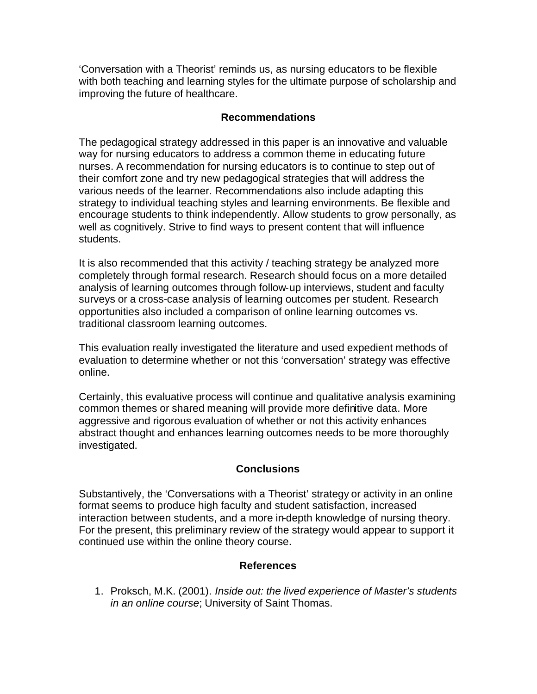'Conversation with a Theorist' reminds us, as nursing educators to be flexible with both teaching and learning styles for the ultimate purpose of scholarship and improving the future of healthcare.

#### **Recommendations**

The pedagogical strategy addressed in this paper is an innovative and valuable way for nursing educators to address a common theme in educating future nurses. A recommendation for nursing educators is to continue to step out of their comfort zone and try new pedagogical strategies that will address the various needs of the learner. Recommendations also include adapting this strategy to individual teaching styles and learning environments. Be flexible and encourage students to think independently. Allow students to grow personally, as well as cognitively. Strive to find ways to present content that will influence students.

It is also recommended that this activity / teaching strategy be analyzed more completely through formal research. Research should focus on a more detailed analysis of learning outcomes through follow-up interviews, student and faculty surveys or a cross-case analysis of learning outcomes per student. Research opportunities also included a comparison of online learning outcomes vs. traditional classroom learning outcomes.

This evaluation really investigated the literature and used expedient methods of evaluation to determine whether or not this 'conversation' strategy was effective online.

Certainly, this evaluative process will continue and qualitative analysis examining common themes or shared meaning will provide more definitive data. More aggressive and rigorous evaluation of whether or not this activity enhances abstract thought and enhances learning outcomes needs to be more thoroughly investigated.

# **Conclusions**

Substantively, the 'Conversations with a Theorist' strategy or activity in an online format seems to produce high faculty and student satisfaction, increased interaction between students, and a more in-depth knowledge of nursing theory. For the present, this preliminary review of the strategy would appear to support it continued use within the online theory course.

# **References**

1. Proksch, M.K. (2001). *Inside out: the lived experience of Master's students in an online course*; University of Saint Thomas.